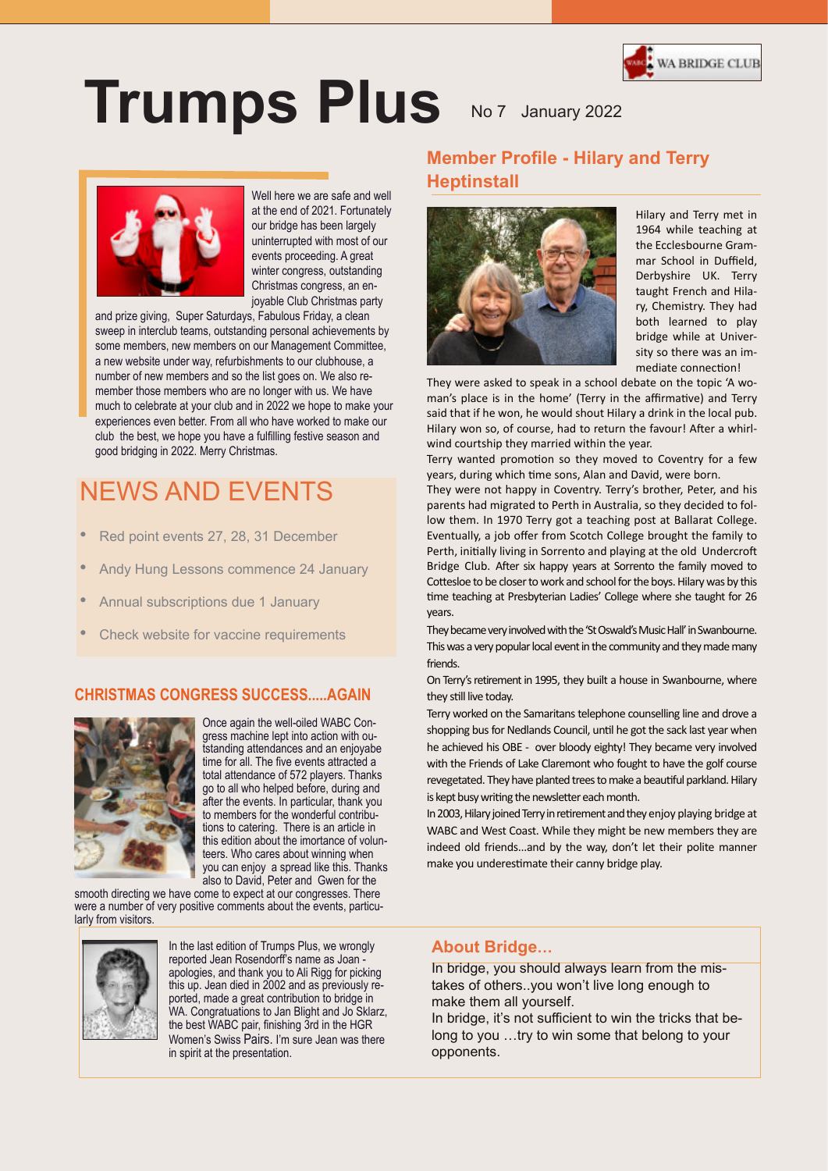

# **Trumps Plus** No 7 January 2022



Well here we are safe and well at the end of 2021. Fortunately our bridge has been largely uninterrupted with most of our events proceeding. A great winter congress, outstanding Christmas congress, an enjoyable Club Christmas party

and prize giving, Super Saturdays, Fabulous Friday, a clean sweep in interclub teams, outstanding personal achievements by some members, new members on our Management Committee, a new website under way, refurbishments to our clubhouse, a number of new members and so the list goes on. We also remember those members who are no longer with us. We have much to celebrate at your club and in 2022 we hope to make your experiences even better. From all who have worked to make our club the best, we hope you have a fulfilling festive season and good bridging in 2022. Merry Christmas.

## NEWS AND EVENTS

- Red point events 27, 28, 31 December
- Andy Hung Lessons commence 24 January
- Annual subscriptions due 1 January
- Check website for vaccine requirements

#### **CHRISTMAS CONGRESS SUCCESS.....AGAIN**



Once again the well-oiled WABC Congress machine lept into action with outstanding attendances and an enjoyabe time for all. The five events attracted a total attendance of 572 players. Thanks go to all who helped before, during and after the events. In particular, thank you to members for the wonderful contributions to catering. There is an article in this edition about the imortance of volunteers. Who cares about winning when you can enjoy a spread like this. Thanks also to David, Peter and Gwen for the

smooth directing we have come to expect at our congresses. There were a number of very positive comments about the events, particularly from visitors.



In the last edition of Trumps Plus, we wrongly reported Jean Rosendorff's name as Joan -, and thank you to Ali Rigg for picking ean died in 2002 and as previc ported, made a great commoditor to bridge in<br>WA. Congratuations to Jan Blight and Jo Sklarz, www.comgraduations to barrienglit and so orderly,<br>the best WABC pair, finishing 3rd in the HGR rae; Women's Swiss Pairs. I'm sure Jean was there in spirit at the presentation. apologies, and thank you to Ali Rigg for picking this up. Jean died in 2002 and as previously reported, made a great contribution to bridge in

## **Member Profile - Hilary and Terry Heptinstall**



Hilary and Terry met in 1964 while teaching at the Ecclesbourne Grammar School in Duffield, Derbyshire UK. Terry taught French and Hilary, Chemistry. They had both learned to play bridge while at University so there was an immediate connection!

They were asked to speak in a school debate on the topic 'A woman's place is in the home' (Terry in the affirmative) and Terry said that if he won, he would shout Hilary a drink in the local pub. Hilary won so, of course, had to return the favour! After a whirlwind courtship they married within the year.

Terry wanted promotion so they moved to Coventry for a few years, during which time sons, Alan and David, were born.

They were not happy in Coventry. Terry's brother, Peter, and his parents had migrated to Perth in Australia, so they decided to follow them. In 1970 Terry got a teaching post at Ballarat College. Eventually, a job offer from Scotch College brought the family to Perth, initially living in Sorrento and playing at the old Undercroft Bridge Club. After six happy years at Sorrento the family moved to Cottesloe to be closer to work and school for the boys. Hilary was by this time teaching at Presbyterian Ladies' College where she taught for 26 years.

They became very involved with the 'St Oswald's Music Hall' in Swanbourne. This was a very popular local event in the community and they made many friends.

On Terry's retirement in 1995, they built a house in Swanbourne, where they still live today.

Terry worked on the Samaritans telephone counselling line and drove a shopping bus for Nedlands Council, until he got the sack last year when he achieved his OBE - over bloody eighty! They became very involved with the Friends of Lake Claremont who fought to have the golf course revegetated. They have planted trees to make a beautiful parkland. Hilary is kept busy writing the newsletter each month.

In 2003, Hilary joined Terry in retirement and they enjoy playing bridge at WABC and West Coast. While they might be new members they are indeed old friends...and by the way, don't let their polite manner make you underestimate their canny bridge play.

#### **About Bridge…**

In bridge, you should always learn from the mistakes of others..you won't live long enough to make them all yourself.

In bridge, it's not sufficient to win the tricks that belong to you …try to win some that belong to your opponents.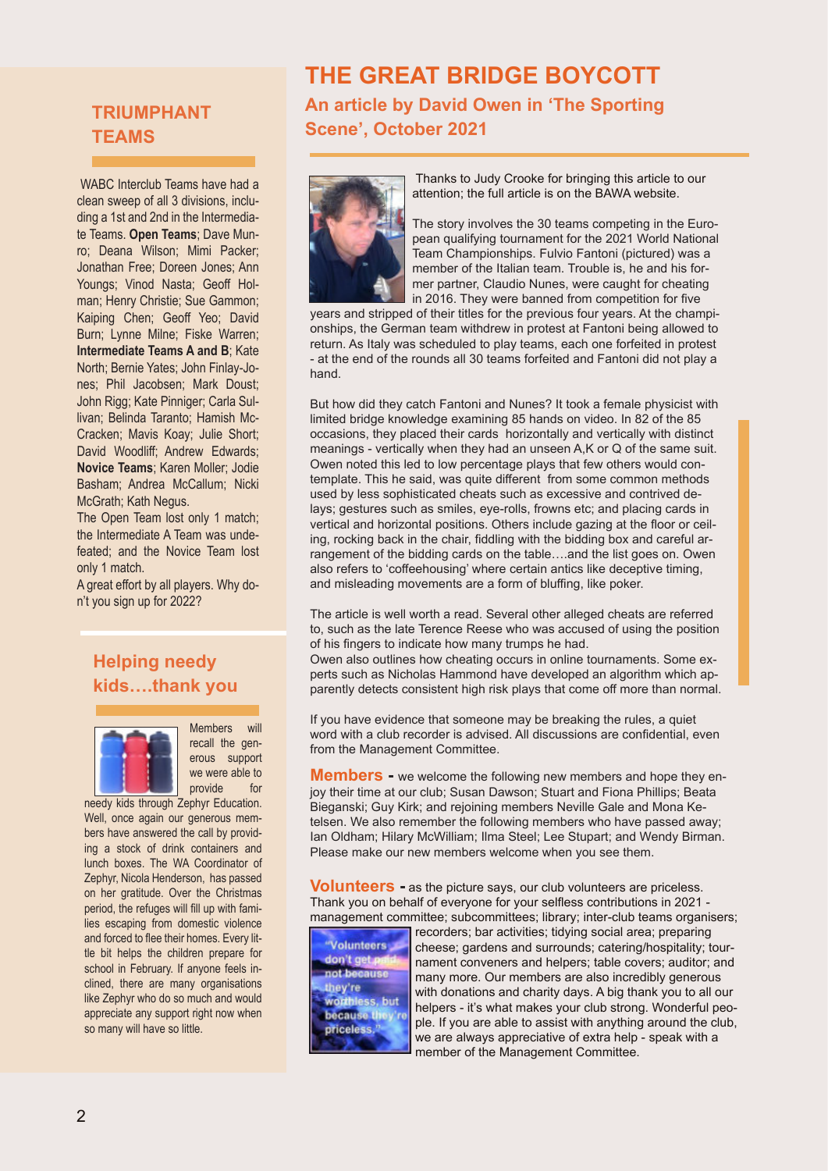## **TRIUMPHANT TEAMS**

WABC Interclub Teams have had a clean sweep of all 3 divisions, including a 1st and 2nd in the Intermediate Teams. **Open Teams**; Dave Munro; Deana Wilson; Mimi Packer; Jonathan Free; Doreen Jones; Ann Youngs; Vinod Nasta; Geoff Holman; Henry Christie; Sue Gammon; Kaiping Chen; Geoff Yeo; David Burn; Lynne Milne; Fiske Warren; **Intermediate Teams A and B**; Kate North; Bernie Yates; John Finlay-Jones; Phil Jacobsen; Mark Doust; John Rigg; Kate Pinniger; Carla Sullivan; Belinda Taranto; Hamish Mc-Cracken; Mavis Koay; Julie Short; David Woodliff: Andrew Edwards: **Novice Teams**; Karen Moller; Jodie Basham; Andrea McCallum; Nicki McGrath; Kath Negus.

The Open Team lost only 1 match; the Intermediate A Team was undefeated; and the Novice Team lost only 1 match.

A great effort by all players. Why don't you sign up for 2022?

## **Helping needy kids….thank you**



Members will recall the generous support we were able to provide for

needy kids through Zephyr Education. Well, once again our generous members have answered the call by providing a stock of drink containers and lunch boxes. The WA Coordinator of Zephyr, Nicola Henderson, has passed on her gratitude. Over the Christmas period, the refuges will fill up with families escaping from domestic violence and forced to flee their homes. Every little bit helps the children prepare for school in February. If anyone feels inclined, there are many organisations like Zephyr who do so much and would appreciate any support right now when so many will have so little.

## **THE GREAT BRIDGE BOYCOTT**

**An article by David Owen in 'The Sporting Scene', October 2021**



Thanks to Judy Crooke for bringing this article to our attention; the full article is on the BAWA website.

The story involves the 30 teams competing in the European qualifying tournament for the 2021 World National Team Championships. Fulvio Fantoni (pictured) was a member of the Italian team. Trouble is, he and his former partner, Claudio Nunes, were caught for cheating in 2016. They were banned from competition for five

years and stripped of their titles for the previous four years. At the championships, the German team withdrew in protest at Fantoni being allowed to return. As Italy was scheduled to play teams, each one forfeited in protest - at the end of the rounds all 30 teams forfeited and Fantoni did not play a hand.

But how did they catch Fantoni and Nunes? It took a female physicist with limited bridge knowledge examining 85 hands on video. In 82 of the 85 occasions, they placed their cards horizontally and vertically with distinct meanings - vertically when they had an unseen A,K or Q of the same suit. Owen noted this led to low percentage plays that few others would contemplate. This he said, was quite different from some common methods used by less sophisticated cheats such as excessive and contrived delays; gestures such as smiles, eye-rolls, frowns etc; and placing cards in vertical and horizontal positions. Others include gazing at the floor or ceiling, rocking back in the chair, fiddling with the bidding box and careful arrangement of the bidding cards on the table….and the list goes on. Owen also refers to 'coffeehousing' where certain antics like deceptive timing, and misleading movements are a form of bluffing, like poker.

The article is well worth a read. Several other alleged cheats are referred to, such as the late Terence Reese who was accused of using the position of his fingers to indicate how many trumps he had.

Owen also outlines how cheating occurs in online tournaments. Some experts such as Nicholas Hammond have developed an algorithm which apparently detects consistent high risk plays that come off more than normal.

If you have evidence that someone may be breaking the rules, a quiet word with a club recorder is advised. All discussions are confidential, even from the Management Committee.

**Members** - we welcome the following new members and hope they enjoy their time at our club; Susan Dawson; Stuart and Fiona Phillips; Beata Bieganski; Guy Kirk; and rejoining members Neville Gale and Mona Ketelsen. We also remember the following members who have passed away; Ian Oldham; Hilary McWilliam; Ilma Steel; Lee Stupart; and Wendy Birman. Please make our new members welcome when you see them.

**Volunteers -** as the picture says, our club volunteers are priceless. Thank you on behalf of everyone for your selfless contributions in 2021 management committee; subcommittees; library; inter-club teams organisers;



recorders; bar activities; tidying social area; preparing cheese; gardens and surrounds; catering/hospitality; tournament conveners and helpers; table covers; auditor; and many more. Our members are also incredibly generous with donations and charity days. A big thank you to all our helpers - it's what makes your club strong. Wonderful people. If you are able to assist with anything around the club, we are always appreciative of extra help - speak with a member of the Management Committee.